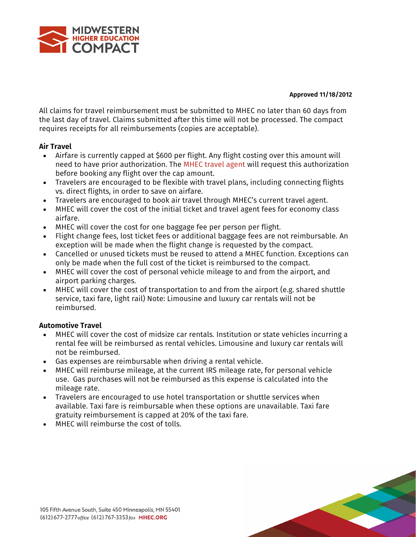

#### **Approved 11/18/2012**

All claims for travel reimbursement must be submitted to MHEC no later than 60 days from the last day of travel. Claims submitted after this time will not be processed. The compact requires receipts for all reimbursements (copies are acceptable).

## **Air Travel**

- Airfare is currently capped at \$600 per flight. Any flight costing over this amount will need to have prior authorization. The MHEC travel agent will request this authorization before booking any flight over the cap amount.
- Travelers are encouraged to be flexible with travel plans, including connecting flights vs. direct flights, in order to save on airfare.
- Travelers are encouraged to book air travel through MHEC's current travel agent.
- MHEC will cover the cost of the initial ticket and travel agent fees for economy class airfare.
- MHEC will cover the cost for one baggage fee per person per flight.
- Flight change fees, lost ticket fees or additional baggage fees are not reimbursable. An exception will be made when the flight change is requested by the compact.
- Cancelled or unused tickets must be reused to attend a MHEC function. Exceptions can only be made when the full cost of the ticket is reimbursed to the compact.
- MHEC will cover the cost of personal vehicle mileage to and from the airport, and airport parking charges.
- MHEC will cover the cost of transportation to and from the airport (e.g. shared shuttle service, taxi fare, light rail) Note: Limousine and luxury car rentals will not be reimbursed.

# **Automotive Travel**

- MHEC will cover the cost of midsize car rentals. Institution or state vehicles incurring a rental fee will be reimbursed as rental vehicles. Limousine and luxury car rentals will not be reimbursed.
- Gas expenses are reimbursable when driving a rental vehicle.
- MHEC will reimburse mileage, at the current IRS mileage rate, for personal vehicle use. Gas purchases will not be reimbursed as this expense is calculated into the mileage rate.
- Travelers are encouraged to use hotel transportation or shuttle services when available. Taxi fare is reimbursable when these options are unavailable. Taxi fare gratuity reimbursement is capped at 20% of the taxi fare.
- MHEC will reimburse the cost of tolls.